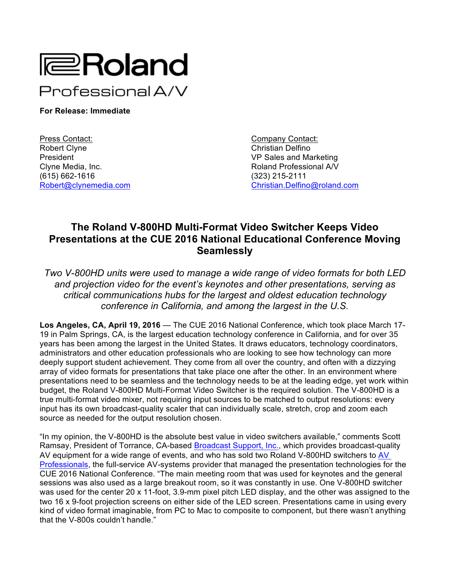

**For Release: Immediate**

Press Contact: Company Contact: Company Contact: Robert Clyne Christian Delfino **President Contract Contract Contract Contract Contract VP Sales and Marketing** Clyne Media, Inc. Roland Professional A/V (615) 662-1616 (323) 215-2111

Robert@clynemedia.com Christian.Delfino@roland.com

## **The Roland V-800HD Multi-Format Video Switcher Keeps Video Presentations at the CUE 2016 National Educational Conference Moving Seamlessly**

*Two V-800HD units were used to manage a wide range of video formats for both LED and projection video for the event's keynotes and other presentations, serving as critical communications hubs for the largest and oldest education technology conference in California, and among the largest in the U.S.*

**Los Angeles, CA, April 19, 2016** — The CUE 2016 National Conference, which took place March 17- 19 in Palm Springs, CA, is the largest education technology conference in California, and for over 35 years has been among the largest in the United States. It draws educators, technology coordinators, administrators and other education professionals who are looking to see how technology can more deeply support student achievement. They come from all over the country, and often with a dizzying array of video formats for presentations that take place one after the other. In an environment where presentations need to be seamless and the technology needs to be at the leading edge, yet work within budget, the Roland V-800HD Multi-Format Video Switcher is the required solution. The V-800HD is a true multi-format video mixer, not requiring input sources to be matched to output resolutions: every input has its own broadcast-quality scaler that can individually scale, stretch, crop and zoom each source as needed for the output resolution chosen.

"In my opinion, the V-800HD is the absolute best value in video switchers available," comments Scott Ramsay, President of Torrance, CA-based Broadcast Support, Inc., which provides broadcast-quality AV equipment for a wide range of events, and who has sold two Roland V-800HD switchers to AV Professionals, the full-service AV-systems provider that managed the presentation technologies for the CUE 2016 National Conference. "The main meeting room that was used for keynotes and the general sessions was also used as a large breakout room, so it was constantly in use. One V-800HD switcher was used for the center 20 x 11-foot, 3.9-mm pixel pitch LED display, and the other was assigned to the two 16 x 9-foot projection screens on either side of the LED screen. Presentations came in using every kind of video format imaginable, from PC to Mac to composite to component, but there wasn't anything that the V-800s couldn't handle."